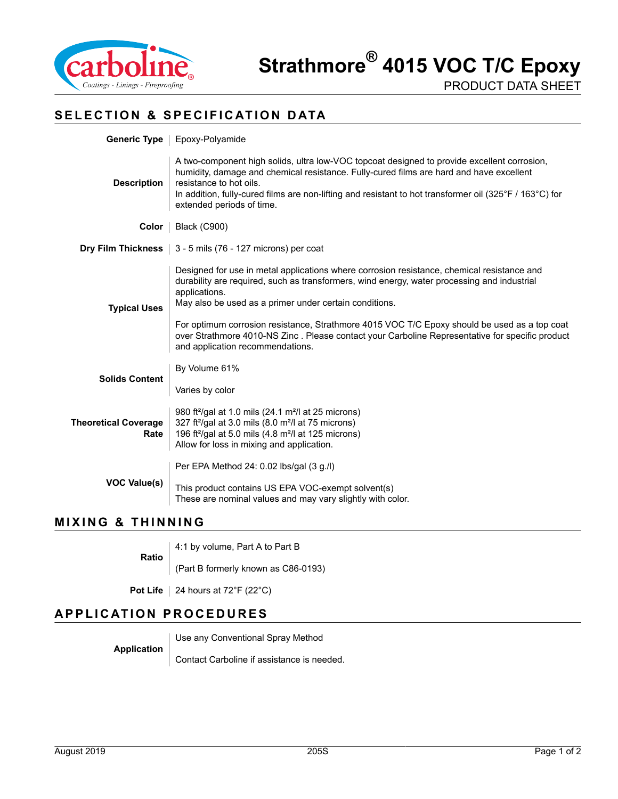

## **SELECTION & SPECIFICATION DATA**

|                                     | Generic Type   Epoxy-Polyamide                                                                                                                                                                                                                                                                                                                                                                                                                                                                              |  |  |
|-------------------------------------|-------------------------------------------------------------------------------------------------------------------------------------------------------------------------------------------------------------------------------------------------------------------------------------------------------------------------------------------------------------------------------------------------------------------------------------------------------------------------------------------------------------|--|--|
| <b>Description</b>                  | A two-component high solids, ultra low-VOC topcoat designed to provide excellent corrosion,<br>humidity, damage and chemical resistance. Fully-cured films are hard and have excellent<br>resistance to hot oils.<br>In addition, fully-cured films are non-lifting and resistant to hot transformer oil (325°F / 163°C) for<br>extended periods of time.                                                                                                                                                   |  |  |
| Color                               | <b>Black (C900)</b>                                                                                                                                                                                                                                                                                                                                                                                                                                                                                         |  |  |
|                                     | <b>Dry Film Thickness</b> $\vert$ 3 - 5 mils (76 - 127 microns) per coat                                                                                                                                                                                                                                                                                                                                                                                                                                    |  |  |
| <b>Typical Uses</b>                 | Designed for use in metal applications where corrosion resistance, chemical resistance and<br>durability are required, such as transformers, wind energy, water processing and industrial<br>applications.<br>May also be used as a primer under certain conditions.<br>For optimum corrosion resistance, Strathmore 4015 VOC T/C Epoxy should be used as a top coat<br>over Strathmore 4010-NS Zinc. Please contact your Carboline Representative for specific product<br>and application recommendations. |  |  |
| <b>Solids Content</b>               | By Volume 61%<br>Varies by color                                                                                                                                                                                                                                                                                                                                                                                                                                                                            |  |  |
| <b>Theoretical Coverage</b><br>Rate | 980 ft <sup>2</sup> /gal at 1.0 mils (24.1 m <sup>2</sup> /l at 25 microns)<br>327 ft <sup>2</sup> /gal at 3.0 mils (8.0 m <sup>2</sup> /l at 75 microns)<br>196 ft <sup>2</sup> /gal at 5.0 mils (4.8 m <sup>2</sup> /l at 125 microns)<br>Allow for loss in mixing and application.                                                                                                                                                                                                                       |  |  |
| <b>VOC Value(s)</b>                 | Per EPA Method 24: 0.02 lbs/gal (3 g./l)<br>This product contains US EPA VOC-exempt solvent(s)<br>These are nominal values and may vary slightly with color.                                                                                                                                                                                                                                                                                                                                                |  |  |

#### **MIXING & THINNING**

**Ratio** 4:1 by volume, Part A to Part B

(Part B formerly known as C86-0193)

**Pot Life**  $\vert$  24 hours at 72°F (22°C)

### **APPLICATION PROCEDURES**

**Application** Use any Conventional Spray Method

Contact Carboline if assistance is needed.